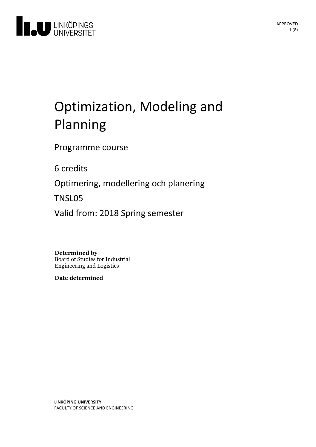

# Optimization, Modeling and Planning

Programme course

6 credits

Optimering, modellering och planering

TNSL05

Valid from: 2018 Spring semester

**Determined by**

Board of Studies for Industrial Engineering and Logistics

**Date determined**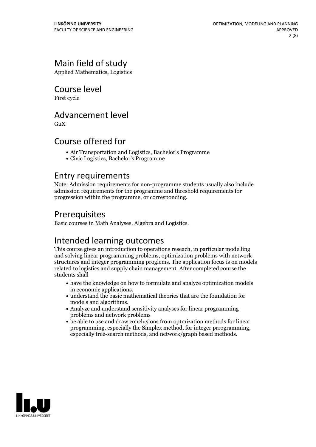# Main field of study

Applied Mathematics, Logistics

# Course level

First cycle

# Advancement level

 $G<sub>2</sub>X$ 

# Course offered for

- Air Transportation and Logistics, Bachelor's Programme
- Civic Logistics, Bachelor's Programme

### Entry requirements

Note: Admission requirements for non-programme students usually also include admission requirements for the programme and threshold requirements for progression within the programme, or corresponding.

# Prerequisites

Basic courses in Math Analyses, Algebra and Logistics.

# Intended learning outcomes

This course gives an introduction to operations reseach, in particular modelling and solving linear programming problems, optimization problems with network structures and integer programming proglems. The application focus is on models related to logistics and supply chain management. After completed course the students shall

- have the knowledge on how to formulate and analyze optimization models
- $\bullet$  understand the basic mathematical theories that are the foundation for models and algorithms.<br>• Analyze and understand sensitivity analyses for linear programming
- problems and network problems
- be able to use and draw conclusions from optmization methods for linear programming, especially the Simplex method, for integer prrogramming, especially tree-search methods, and network/graph based methods.

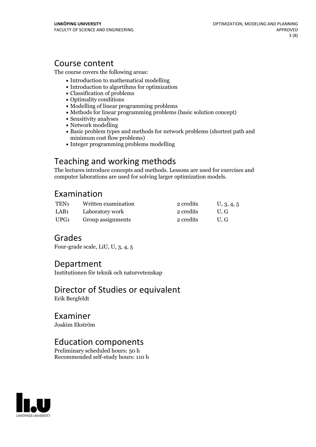# Course content

The course covers the following areas:

- Introduction to mathematical modelling
- Introduction to algortihms for optimization
- Classification of problems
- Optimality conditions
- Modelling of linear programming problems
- Methods for linear programming problems (basic solution concept)
- Sensitivity analyses
- Network modelling
- Basic problem types and methods for network problems (shortest path and minimum cost flow problems)
- Integer programming problems modelling

# Teaching and working methods

The lectures introduce concepts and methods. Lessons are used for exercises and computer laborations are used for solving larger optimization models.

### Examination

| TEN <sub>1</sub> | Written examination | 2 credits | U, 3, 4, 5 |
|------------------|---------------------|-----------|------------|
| LAB <sub>1</sub> | Laboratory work     | 2 credits | U.G        |
| UPG1             | Group assignments   | 2 credits | U.G        |

# Grades

Four-grade scale, LiU, U, 3, 4, 5

### Department

Institutionen för teknik och naturvetenskap

### Director of Studies or equivalent Erik Bergfeldt

# Examiner

Joakim Ekström

# Education components

Preliminary scheduled hours: 50 h Recommended self-study hours: 110 h

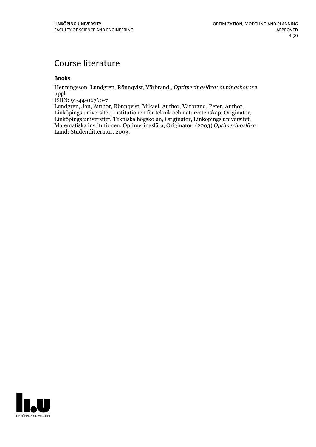# Course literature

### **Books**

Henningsson, Lundgren, Rönnqvist, Värbrand,, *Optimeringslära: övningsbok* 2:a uppl

ISBN: 91-44-06760-7<br>Lundgren, Jan, Author, Rönnqvist, Mikael, Author, Värbrand, Peter, Author, Linköpings universitet, Institutionen för teknik och naturvetenskap, Originator,<br>Linköpings universitet, Tekniska högskolan, Originator, Linköpings universitet,<br>Matematiska institutionen, Optimeringslära, Originator, (2003 Lund: Studentlitteratur, 2003.

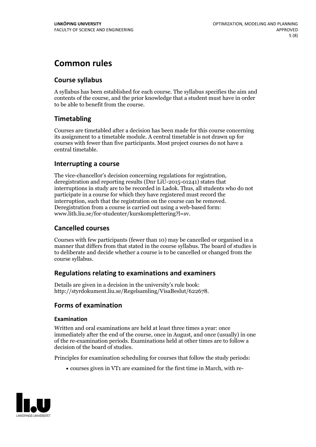# **Common rules**

### **Course syllabus**

A syllabus has been established for each course. The syllabus specifies the aim and contents of the course, and the prior knowledge that a student must have in order to be able to benefit from the course.

### **Timetabling**

Courses are timetabled after a decision has been made for this course concerning its assignment to a timetable module. A central timetable is not drawn up for courses with fewer than five participants. Most project courses do not have a central timetable.

### **Interrupting a course**

The vice-chancellor's decision concerning regulations for registration, deregistration and reporting results (Dnr LiU-2015-01241) states that interruptions in study are to be recorded in Ladok. Thus, all students who do not participate in a course for which they have registered must record the interruption, such that the registration on the course can be removed. Deregistration from <sup>a</sup> course is carried outusing <sup>a</sup> web-based form: www.lith.liu.se/for-studenter/kurskomplettering?l=sv.

### **Cancelled courses**

Courses with few participants (fewer than 10) may be cancelled or organised in a manner that differs from that stated in the course syllabus. The board of studies is to deliberate and decide whether a course is to be cancelled orchanged from the course syllabus.

### **Regulations relatingto examinations and examiners**

Details are given in a decision in the university's rule book: http://styrdokument.liu.se/Regelsamling/VisaBeslut/622678.

### **Forms of examination**

#### **Examination**

Written and oral examinations are held at least three times a year: once immediately after the end of the course, once in August, and once (usually) in one of the re-examination periods. Examinations held at other times are to follow a decision of the board of studies.

Principles for examination scheduling for courses that follow the study periods:

courses given in VT1 are examined for the first time in March, with re-

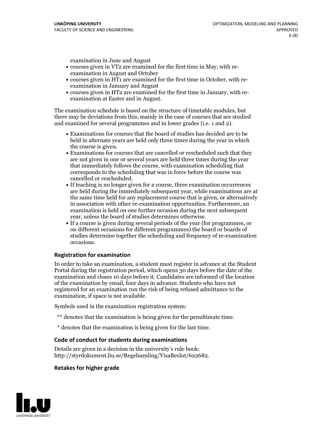examination in June and August

- courses given in VT2 are examined for the first time in May, with re-examination in August and October
- courses given in HT1 are examined for the first time in October, with re-examination in January and August
- courses given in HT2 are examined for the first time in January, with re-examination at Easter and in August.

The examination schedule is based on the structure of timetable modules, but there may be deviations from this, mainly in the case of courses that are studied and examined for several programmes and in lower grades (i.e. 1 and 2).

- Examinations for courses that the board of studies has decided are to be held in alternate years are held only three times during the year in which
- the course is given.<br>• Examinations for courses that are cancelled or rescheduled such that they are not given in one or several years are held three times during the year that immediately follows the course, with examination scheduling that corresponds to the scheduling that was in force before the course was cancelled or rescheduled.<br>• If teaching is no longer given for a course, three examination occurrences
- are held during the immediately subsequent year, while examinations are at the same time held for any replacement course that is given, or alternatively in association with other re-examination opportunities. Furthermore, an examination is held on one further occasion during the next subsequent year, unless the board of studies determines otherwise.<br>• If a course is given during several periods of the year (for programmes, or
- on different occasions for different programmes) the board orboards of studies determine together the scheduling and frequency of re-examination occasions.

#### **Registration for examination**

In order to take an examination, a student must register in advance at the Student Portal during the registration period, which opens 30 days before the date of the examination and closes 10 days before it. Candidates are informed of the location of the examination by email, four days in advance. Students who have not registered for an examination run the risk of being refused admittance to the examination, if space is not available.

Symbols used in the examination registration system:

- \*\* denotes that the examination is being given for the penultimate time.
- \* denotes that the examination is being given for the last time.

#### **Code of conduct for students during examinations**

Details are given in a decision in the university's rule book: http://styrdokument.liu.se/Regelsamling/VisaBeslut/622682.

#### **Retakes for higher grade**

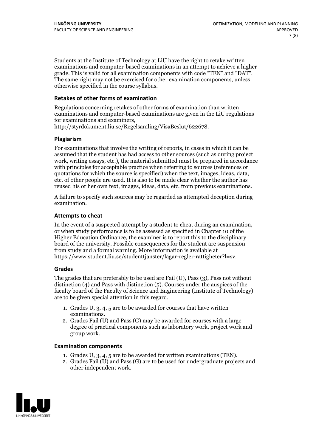Students at the Institute of Technology at LiU have the right to retake written examinations and computer-based examinations in an attempt to achieve a higher grade. This is valid for all examination components with code "TEN" and "DAT". The same right may not be exercised for other examination components, unless otherwise specified in the course syllabus.

#### **Retakes of other forms of examination**

Regulations concerning retakes of other forms of examination than written examinations and computer-based examinations are given in the LiU regulations for examinations and examiners, http://styrdokument.liu.se/Regelsamling/VisaBeslut/622678.

#### **Plagiarism**

For examinations that involve the writing of reports, in cases in which it can be assumed that the student has had access to other sources (such as during project work, writing essays, etc.), the material submitted must be prepared in accordance with principles for acceptable practice when referring to sources (references or quotations for which the source is specified) when the text, images, ideas, data, etc. of other people are used. It is also to be made clear whether the author has reused his or her own text, images, ideas, data, etc. from previous examinations.

A failure to specify such sources may be regarded as attempted deception during examination.

#### **Attempts to cheat**

In the event of <sup>a</sup> suspected attempt by <sup>a</sup> student to cheat during an examination, or when study performance is to be assessed as specified in Chapter <sup>10</sup> of the Higher Education Ordinance, the examiner is to report this to the disciplinary board of the university. Possible consequences for the student are suspension from study and a formal warning. More information is available at https://www.student.liu.se/studenttjanster/lagar-regler-rattigheter?l=sv.

#### **Grades**

The grades that are preferably to be used are Fail (U), Pass (3), Pass not without distinction  $(4)$  and Pass with distinction  $(5)$ . Courses under the auspices of the faculty board of the Faculty of Science and Engineering (Institute of Technology) are to be given special attention in this regard.

- 1. Grades U, 3, 4, 5 are to be awarded for courses that have written
- examinations. 2. Grades Fail (U) and Pass (G) may be awarded for courses with <sup>a</sup> large degree of practical components such as laboratory work, project work and group work.

#### **Examination components**

- 
- 1. Grades U, 3, 4, <sup>5</sup> are to be awarded for written examinations (TEN). 2. Grades Fail (U) and Pass (G) are to be used for undergraduate projects and other independent work.